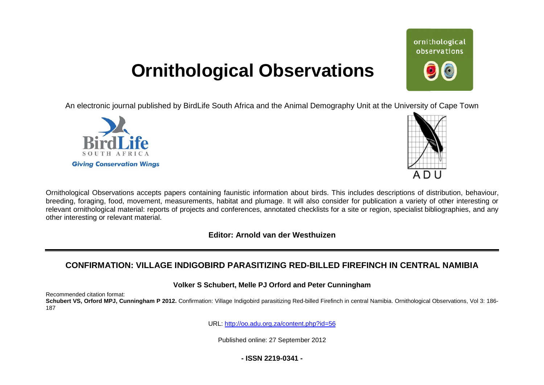## **Ornithological Observations**

An electronic journal published by BirdLife South Africa and the Animal Demography Unit at the University of Cape Town





Ornithological Observations accepts papers containing faunistic information about birds. This includes descriptions of distribution, behaviour, breeding, foraging, food, movement, measurements, habitat and plumage. It will also consider for publication a variety of other interesting or relevant ornithological material: reports of projects and conferences, annotated checklists for a site or region, specialist bibliographies, and any other interesting or relevant material.

**Editor: Arnold van der Westhuizen**

### CONFIRMATION: VILLAGE INDIGOBIRD PARASITIZING RED-BILLED FIREFINCH IN CENTRAL NAMIBIA

**Volker S Schubert, Melle PJ Orford and Peter Cunningham**

Recommended citation format:

Schubert VS, Orford MPJ, Cunningham P 2012. Confirmation: Village Indigobird parasitizing Red-billed Firefinch in central Namibia. Ornithological Observations, Vol 3: 186-187

URL: <http://oo.adu.org.za/content.php?id=56>

Published online: 27 September 2012

**- ISSN 2219-0341 -** 

# ornithological observations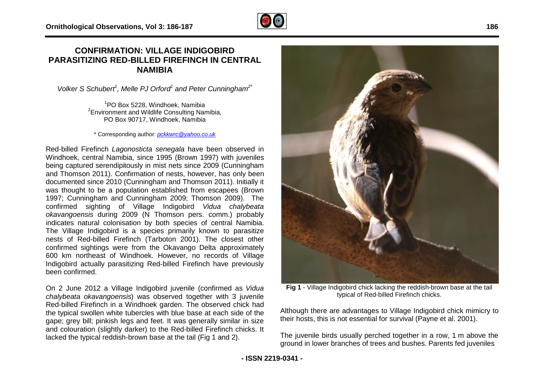#### **CONFIRMATION: VILLAGE INDIGOBIRD PARASITIZING RED-BILLED FIREFINCH IN CENTRAL NAMIBIA**

*Volker S Schubert<sup>1</sup>, Melle PJ Orford<sup>1</sup> and Peter Cunningham<sup>2\*</sup>* 

1 PO Box 5228, Windhoek, Namibia  $2$ Environment and Wildlife Consulting Namibia, PO Box 90717, Windhoek, Namibia

\* Corresponding author: *[pckkwrc@yahoo.co.uk](mailto:pckkwrc@yahoo.co.uk)*

Red-billed Firefinch *Lagonosticta senegala* have been observed in Windhoek, central Namibia, since 1995 (Brown 1997) with juveniles being captured serendipitously in mist nets since 2009 (Cunningham and Thomson 2011). Confirmation of nests, however, has only been documented since 2010 (Cunningham and Thomson 2011). Initially it was thought to be a population established from escapees (Brown 1997; Cunningham and Cunningham 2009; Thomson 2009). The confirmed sighting of Village Indigobird *Vidua chalybeata okavangoensis* during 2009 (N Thomson pers. comm.) probably indicates natural colonisation by both species of central Namibia. The Village Indigobird is a species primarily known to parasitize nests of Red-billed Firefinch (Tarboton 2001). The closest other confirmed sightings were from the Okavango Delta approximately 600 km northeast of Windhoek. However, no records of Village Indigobird actually parasitizing Red-billed Firefinch have previous previously been confirmed.

On 2 June 2012 a Village Indigobird juvenile (confirmed as *Vidua chalybeata okavangoensis*) was observed together with 3 juvenile Red-billed Firefinch in a Windhoek garden. The observed chick had the typical swollen white tubercles with blue base at each side of the gape; grey bill; pinkish legs and feet. It was generally similar in size the typical swollen white tubercles with blue base at each side of the<br>gape; grey bill; pinkish legs and feet. It was generally similar in size<br>and colouration (slightly darker) to the Red-billed Firefinch chicks. It lacked the typical reddish-brown base at the tail (Fig 1 and 2).



Fig 1 - Village Indigobird chick lacking the reddish-brown base at the tail typical of Red-billed Firefinch chicks.

Although there are advantages to Village Indigobird chick mimicry to their hosts, this is not essential for survival (Payne et al. 2001).

The juvenile birds usually perched together in a row, 1 1 m above the ground in lower branches of trees and bushes. Parents fed juveniles